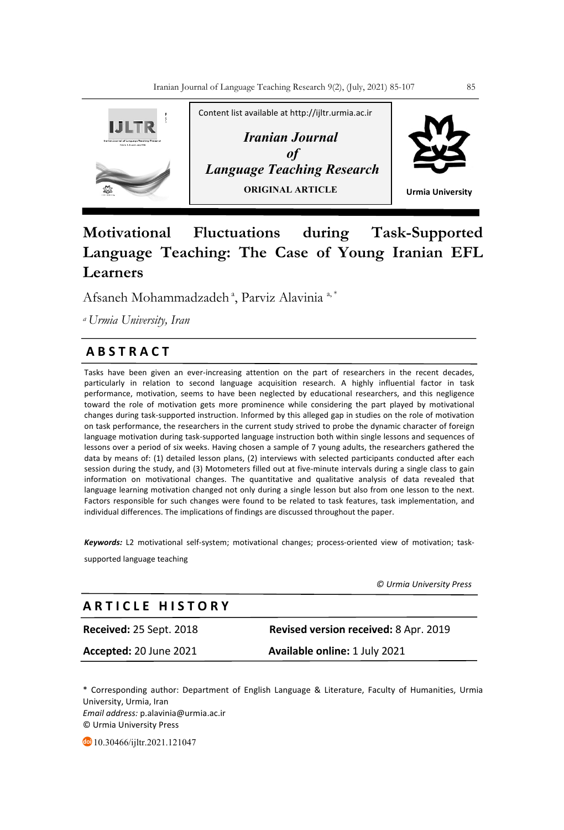

# **Motivational Fluctuations during Task-Supported Language Teaching: The Case of Young Iranian EFL Learners**

Afsaneh Mohammadzadeh<sup>a</sup>, Parviz Alavinia<sup>a,\*</sup>

*a Urmia University, Iran*

# **A B S T R A C T**

Tasks have been given an ever-increasing attention on the part of researchers in the recent decades, particularly in relation to second language acquisition research. A highly influential factor in task performance, motivation, seems to have been neglected by educational researchers, and this negligence toward the role of motivation gets more prominence while considering the part played by motivational changes during task-supported instruction. Informed by this alleged gap in studies on the role of motivation on task performance, the researchers in the current study strived to probe the dynamic character of foreign language motivation during task-supported language instruction both within single lessons and sequences of lessons over a period of six weeks. Having chosen a sample of 7 young adults, the researchers gathered the data by means of: (1) detailed lesson plans, (2) interviews with selected participants conducted after each session during the study, and (3) Motometers filled out at five-minute intervals during a single class to gain information on motivational changes. The quantitative and qualitative analysis of data revealed that **\** language learning motivation changed not only during a single lesson but also from one lesson to the next. Factors responsible for such changes were found to be related to task features, task implementation, and individual differences. The implications of findings are discussed throughout the paper.

*Keywords:* L2 motivational self-system; motivational changes; process-oriented view of motivation; tasksupported language teaching

 *© Urmia University Press*

# **A R T I C L E H I S T O R Y**

**Received:** 25 Sept. 2018 **Revised version received:** 8 Apr. 2019

**Accepted:** 20 June 2021 **Available online:** 1 July 2021

\* Corresponding author: Department of English Language & Literature, Faculty of Humanities, Urmia University, Urmia, Iran *Email address:* p.alavinia@urmia.ac.ir © Urmia University Press

10.30466/ijltr.2021.121047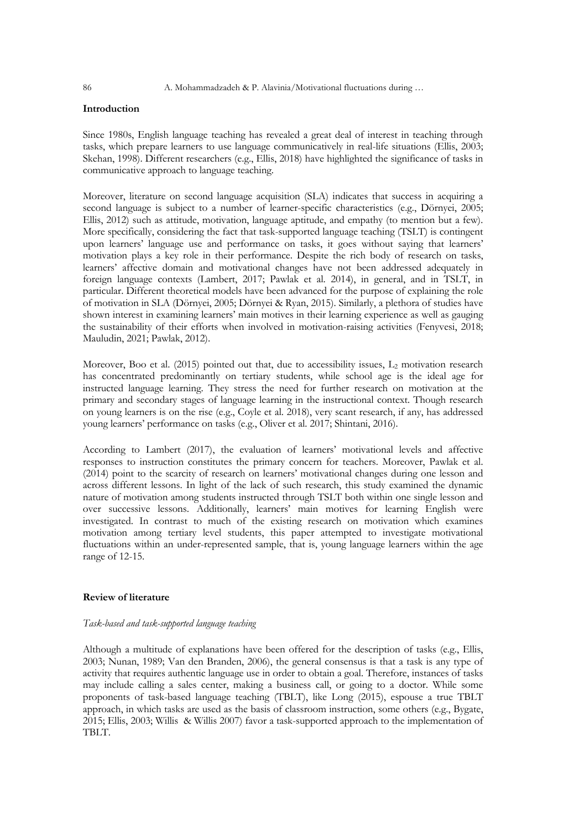# **Introduction**

Since 1980s, English language teaching has revealed a great deal of interest in teaching through tasks, which prepare learners to use language communicatively in real-life situations (Ellis, 2003; Skehan, 1998). Different researchers (e.g., Ellis, 2018) have highlighted the significance of tasks in communicative approach to language teaching.

Moreover, literature on second language acquisition (SLA) indicates that success in acquiring a second language is subject to a number of learner-specific characteristics (e.g., Dörnyei, 2005; Ellis, 2012) such as attitude, motivation, language aptitude, and empathy (to mention but a few). More specifically, considering the fact that task-supported language teaching (TSLT) is contingent upon learners' language use and performance on tasks, it goes without saying that learners' motivation plays a key role in their performance. Despite the rich body of research on tasks, learners' affective domain and motivational changes have not been addressed adequately in foreign language contexts (Lambert, 2017; Pawlak et al. 2014), in general, and in TSLT, in particular. Different theoretical models have been advanced for the purpose of explaining the role of motivation in SLA (Dörnyei, 2005; Dörnyei & Ryan, 2015). Similarly, a plethora of studies have shown interest in examining learners' main motives in their learning experience as well as gauging the sustainability of their efforts when involved in motivation-raising activities (Fenyvesi, 2018; Mauludin, 2021; Pawlak, 2012).

Moreover, Boo et al. (2015) pointed out that, due to accessibility issues,  $L_2$  motivation research has concentrated predominantly on tertiary students, while school age is the ideal age for instructed language learning. They stress the need for further research on motivation at the primary and secondary stages of language learning in the instructional context. Though research on young learners is on the rise (e.g., Coyle et al. 2018), very scant research, if any, has addressed young learners' performance on tasks (e.g., Oliver et al. 2017; Shintani, 2016).

According to Lambert (2017), the evaluation of learners' motivational levels and affective responses to instruction constitutes the primary concern for teachers. Moreover, Pawlak et al. (2014) point to the scarcity of research on learners' motivational changes during one lesson and across different lessons. In light of the lack of such research, this study examined the dynamic nature of motivation among students instructed through TSLT both within one single lesson and over successive lessons. Additionally, learners' main motives for learning English were investigated. In contrast to much of the existing research on motivation which examines motivation among tertiary level students, this paper attempted to investigate motivational fluctuations within an under-represented sample, that is, young language learners within the age range of 12-15.

# **Review of literature**

# *Task-based and task-supported language teaching*

Although a multitude of explanations have been offered for the description of tasks (e.g., Ellis, 2003; Nunan, 1989; Van den Branden, 2006), the general consensus is that a task is any type of activity that requires authentic language use in order to obtain a goal. Therefore, instances of tasks may include calling a sales center, making a business call, or going to a doctor. While some proponents of task-based language teaching (TBLT), like Long (2015), espouse a true TBLT approach, in which tasks are used as the basis of classroom instruction, some others (e.g., Bygate, 2015; Ellis, 2003; Willis & Willis 2007) favor a task-supported approach to the implementation of TBLT.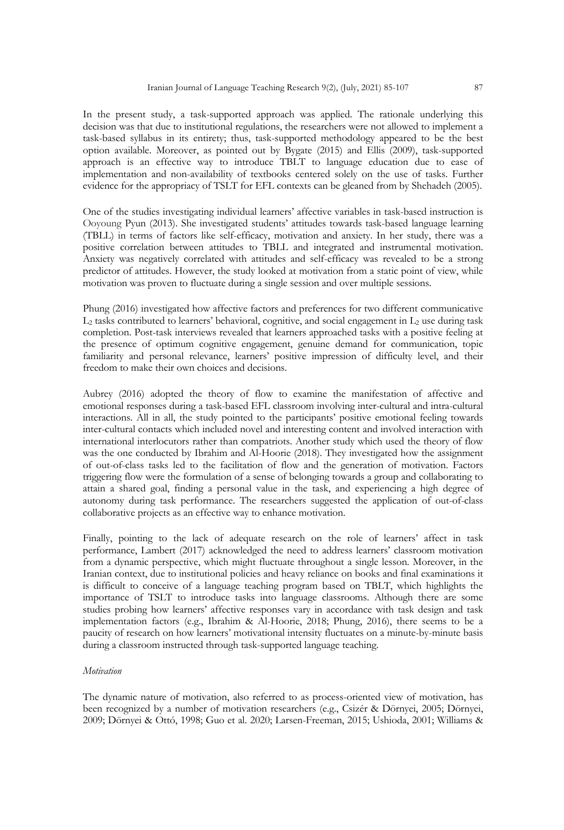In the present study, a task-supported approach was applied. The rationale underlying this decision was that due to institutional regulations, the researchers were not allowed to implement a task-based syllabus in its entirety; thus, task-supported methodology appeared to be the best option available. Moreover, as pointed out by Bygate (2015) and Ellis (2009), task-supported approach is an effective way to introduce TBLT to language education due to ease of implementation and non-availability of textbooks centered solely on the use of tasks. Further evidence for the appropriacy of TSLT for EFL contexts can be gleaned from by Shehadeh (2005).

One of the studies investigating individual learners' affective variables in task-based instruction is Ooyoung Pyun (2013). She investigated students' attitudes towards task-based language learning (TBLL) in terms of factors like self-efficacy, motivation and anxiety. In her study, there was a positive correlation between attitudes to TBLL and integrated and instrumental motivation. Anxiety was negatively correlated with attitudes and self-efficacy was revealed to be a strong predictor of attitudes. However, the study looked at motivation from a static point of view, while motivation was proven to fluctuate during a single session and over multiple sessions.

Phung (2016) investigated how affective factors and preferences for two different communicative  $L_2$  tasks contributed to learners' behavioral, cognitive, and social engagement in  $L_2$  use during task completion. Post-task interviews revealed that learners approached tasks with a positive feeling at the presence of optimum cognitive engagement, genuine demand for communication, topic familiarity and personal relevance, learners' positive impression of difficulty level, and their freedom to make their own choices and decisions.

Aubrey (2016) adopted the theory of flow to examine the manifestation of affective and emotional responses during a task-based EFL classroom involving inter-cultural and intra-cultural interactions. All in all, the study pointed to the participants' positive emotional feeling towards inter-cultural contacts which included novel and interesting content and involved interaction with international interlocutors rather than compatriots. Another study which used the theory of flow was the one conducted by Ibrahim and Al-Hoorie (2018). They investigated how the assignment of out-of-class tasks led to the facilitation of flow and the generation of motivation. Factors triggering flow were the formulation of a sense of belonging towards a group and collaborating to attain a shared goal, finding a personal value in the task, and experiencing a high degree of autonomy during task performance. The researchers suggested the application of out-of-class collaborative projects as an effective way to enhance motivation.

Finally, pointing to the lack of adequate research on the role of learners' affect in task performance, Lambert (2017) acknowledged the need to address learners' classroom motivation from a dynamic perspective, which might fluctuate throughout a single lesson. Moreover, in the Iranian context, due to institutional policies and heavy reliance on books and final examinations it is difficult to conceive of a language teaching program based on TBLT, which highlights the importance of TSLT to introduce tasks into language classrooms. Although there are some studies probing how learners' affective responses vary in accordance with task design and task implementation factors (e.g., Ibrahim & Al-Hoorie, 2018; Phung, 2016), there seems to be a paucity of research on how learners' motivational intensity fluctuates on a minute-by-minute basis during a classroom instructed through task-supported language teaching.

# *Motivation*

The dynamic nature of motivation, also referred to as process-oriented view of motivation, has been recognized by a number of motivation researchers (e.g., Csizér & Dörnyei, 2005; Dörnyei, 2009; Dörnyei & Ottó, 1998; Guo et al. 2020; Larsen-Freeman, 2015; Ushioda, 2001; Williams &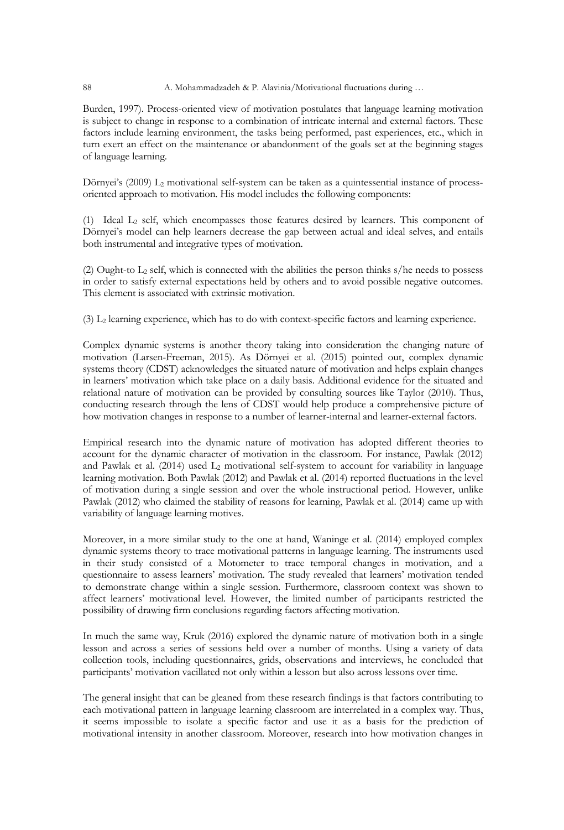#### 88 A. Mohammadzadeh & P. Alavinia/Motivational fluctuations during ...

Burden, 1997). Process-oriented view of motivation postulates that language learning motivation is subject to change in response to a combination of intricate internal and external factors. These factors include learning environment, the tasks being performed, past experiences, etc., which in turn exert an effect on the maintenance or abandonment of the goals set at the beginning stages of language learning.

Dörnyei's  $(2009)$  L<sub>2</sub> motivational self-system can be taken as a quintessential instance of processoriented approach to motivation. His model includes the following components:

(1) Ideal  $L_2$  self, which encompasses those features desired by learners. This component of Dörnyei's model can help learners decrease the gap between actual and ideal selves, and entails both instrumental and integrative types of motivation.

(2) Ought-to  $L_2$  self, which is connected with the abilities the person thinks s/he needs to possess in order to satisfy external expectations held by others and to avoid possible negative outcomes. This element is associated with extrinsic motivation.

(3) L2 learning experience, which has to do with context-specific factors and learning experience.

Complex dynamic systems is another theory taking into consideration the changing nature of motivation (Larsen-Freeman, 2015). As Dörnyei et al. (2015) pointed out, complex dynamic systems theory (CDST) acknowledges the situated nature of motivation and helps explain changes in learners' motivation which take place on a daily basis. Additional evidence for the situated and relational nature of motivation can be provided by consulting sources like Taylor (2010). Thus, conducting research through the lens of CDST would help produce a comprehensive picture of how motivation changes in response to a number of learner-internal and learner-external factors.

Empirical research into the dynamic nature of motivation has adopted different theories to account for the dynamic character of motivation in the classroom. For instance, Pawlak (2012) and Pawlak et al.  $(2014)$  used  $L_2$  motivational self-system to account for variability in language learning motivation. Both Pawlak (2012) and Pawlak et al. (2014) reported fluctuations in the level of motivation during a single session and over the whole instructional period. However, unlike Pawlak (2012) who claimed the stability of reasons for learning, Pawlak et al. (2014) came up with variability of language learning motives.

Moreover, in a more similar study to the one at hand, Waninge et al. (2014) employed complex dynamic systems theory to trace motivational patterns in language learning. The instruments used in their study consisted of a Motometer to trace temporal changes in motivation, and a questionnaire to assess learners' motivation. The study revealed that learners' motivation tended to demonstrate change within a single session. Furthermore, classroom context was shown to affect learners' motivational level. However, the limited number of participants restricted the possibility of drawing firm conclusions regarding factors affecting motivation.

In much the same way, Kruk (2016) explored the dynamic nature of motivation both in a single lesson and across a series of sessions held over a number of months. Using a variety of data collection tools, including questionnaires, grids, observations and interviews, he concluded that participants' motivation vacillated not only within a lesson but also across lessons over time.

The general insight that can be gleaned from these research findings is that factors contributing to each motivational pattern in language learning classroom are interrelated in a complex way. Thus, it seems impossible to isolate a specific factor and use it as a basis for the prediction of motivational intensity in another classroom. Moreover, research into how motivation changes in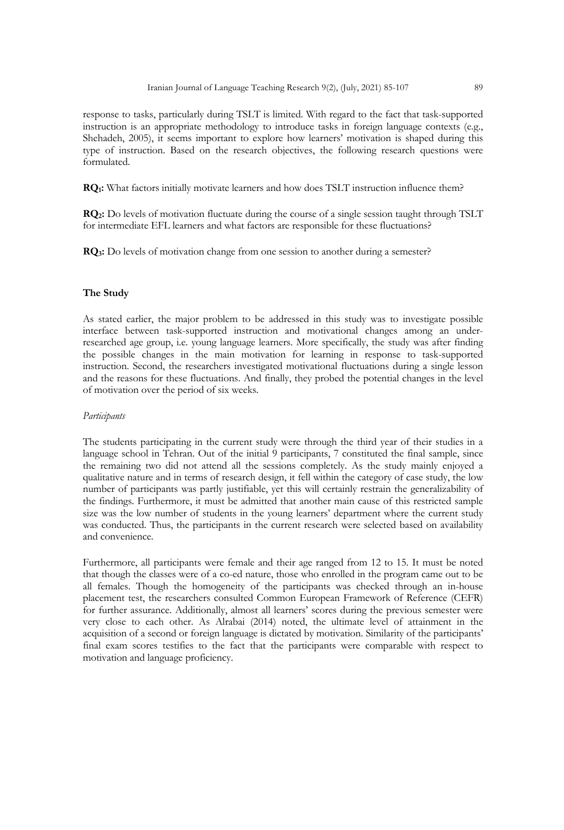response to tasks, particularly during TSLT is limited. With regard to the fact that task-supported instruction is an appropriate methodology to introduce tasks in foreign language contexts (e.g., Shehadeh, 2005), it seems important to explore how learners' motivation is shaped during this type of instruction. Based on the research objectives, the following research questions were formulated.

**RQ1:** What factors initially motivate learners and how does TSLT instruction influence them?

**RQ2:** Do levels of motivation fluctuate during the course of a single session taught through TSLT for intermediate EFL learners and what factors are responsible for these fluctuations?

**RQ3:** Do levels of motivation change from one session to another during a semester?

#### **The Study**

As stated earlier, the major problem to be addressed in this study was to investigate possible interface between task-supported instruction and motivational changes among an underresearched age group, i.e. young language learners. More specifically, the study was after finding the possible changes in the main motivation for learning in response to task-supported instruction. Second, the researchers investigated motivational fluctuations during a single lesson and the reasons for these fluctuations. And finally, they probed the potential changes in the level of motivation over the period of six weeks.

## *Participants*

The students participating in the current study were through the third year of their studies in a language school in Tehran. Out of the initial 9 participants, 7 constituted the final sample, since the remaining two did not attend all the sessions completely. As the study mainly enjoyed a qualitative nature and in terms of research design, it fell within the category of case study, the low number of participants was partly justifiable, yet this will certainly restrain the generalizability of the findings. Furthermore, it must be admitted that another main cause of this restricted sample size was the low number of students in the young learners' department where the current study was conducted. Thus, the participants in the current research were selected based on availability and convenience.

Furthermore, all participants were female and their age ranged from 12 to 15. It must be noted that though the classes were of a co-ed nature, those who enrolled in the program came out to be all females. Though the homogeneity of the participants was checked through an in-house placement test, the researchers consulted Common European Framework of Reference (CEFR) for further assurance. Additionally, almost all learners' scores during the previous semester were very close to each other. As Alrabai (2014) noted, the ultimate level of attainment in the acquisition of a second or foreign language is dictated by motivation. Similarity of the participants' final exam scores testifies to the fact that the participants were comparable with respect to motivation and language proficiency.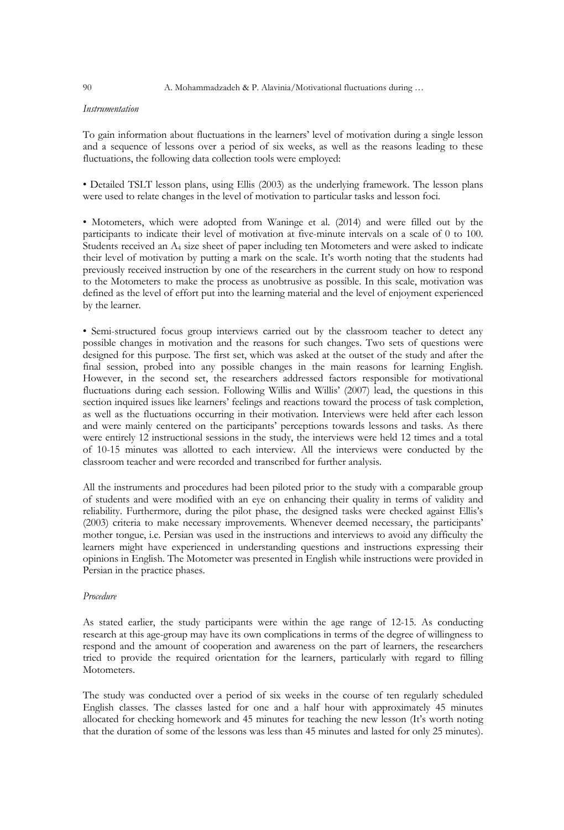#### *Instrumentation*

To gain information about fluctuations in the learners' level of motivation during a single lesson and a sequence of lessons over a period of six weeks, as well as the reasons leading to these fluctuations, the following data collection tools were employed:

• Detailed TSLT lesson plans, using Ellis (2003) as the underlying framework. The lesson plans were used to relate changes in the level of motivation to particular tasks and lesson foci.

• Motometers, which were adopted from Waninge et al. (2014) and were filled out by the participants to indicate their level of motivation at five-minute intervals on a scale of 0 to 100. Students received an A4 size sheet of paper including ten Motometers and were asked to indicate their level of motivation by putting a mark on the scale. It's worth noting that the students had previously received instruction by one of the researchers in the current study on how to respond to the Motometers to make the process as unobtrusive as possible. In this scale, motivation was defined as the level of effort put into the learning material and the level of enjoyment experienced by the learner.

• Semi-structured focus group interviews carried out by the classroom teacher to detect any possible changes in motivation and the reasons for such changes. Two sets of questions were designed for this purpose. The first set, which was asked at the outset of the study and after the final session, probed into any possible changes in the main reasons for learning English. However, in the second set, the researchers addressed factors responsible for motivational fluctuations during each session. Following Willis and Willis' (2007) lead, the questions in this section inquired issues like learners' feelings and reactions toward the process of task completion, as well as the fluctuations occurring in their motivation. Interviews were held after each lesson and were mainly centered on the participants' perceptions towards lessons and tasks. As there were entirely 12 instructional sessions in the study, the interviews were held 12 times and a total of 10-15 minutes was allotted to each interview. All the interviews were conducted by the classroom teacher and were recorded and transcribed for further analysis.

All the instruments and procedures had been piloted prior to the study with a comparable group of students and were modified with an eye on enhancing their quality in terms of validity and reliability. Furthermore, during the pilot phase, the designed tasks were checked against Ellis's (2003) criteria to make necessary improvements. Whenever deemed necessary, the participants' mother tongue, i.e. Persian was used in the instructions and interviews to avoid any difficulty the learners might have experienced in understanding questions and instructions expressing their opinions in English. The Motometer was presented in English while instructions were provided in Persian in the practice phases.

#### *Procedure*

As stated earlier, the study participants were within the age range of 12-15. As conducting research at this age-group may have its own complications in terms of the degree of willingness to respond and the amount of cooperation and awareness on the part of learners, the researchers tried to provide the required orientation for the learners, particularly with regard to filling Motometers.

The study was conducted over a period of six weeks in the course of ten regularly scheduled English classes. The classes lasted for one and a half hour with approximately 45 minutes allocated for checking homework and 45 minutes for teaching the new lesson (It's worth noting that the duration of some of the lessons was less than 45 minutes and lasted for only 25 minutes).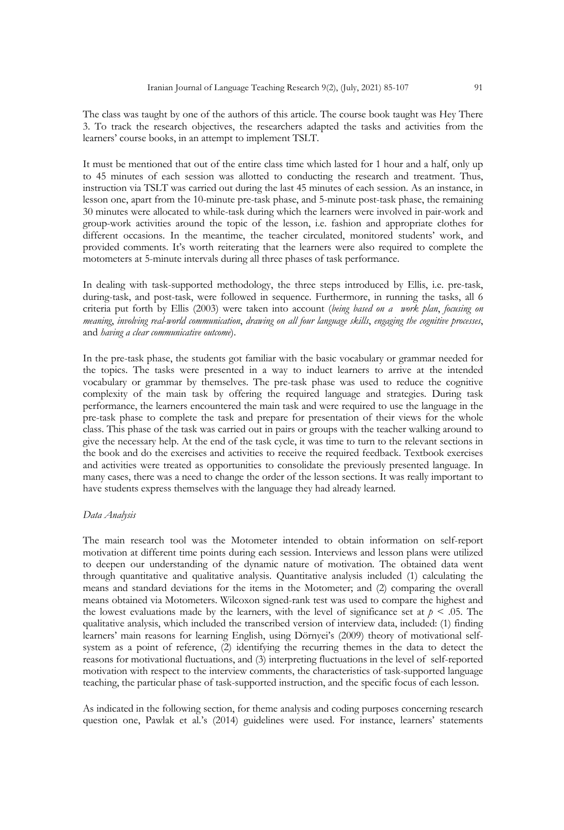The class was taught by one of the authors of this article. The course book taught was Hey There 3. To track the research objectives, the researchers adapted the tasks and activities from the learners' course books, in an attempt to implement TSLT.

It must be mentioned that out of the entire class time which lasted for 1 hour and a half, only up to 45 minutes of each session was allotted to conducting the research and treatment. Thus, instruction via TSLT was carried out during the last 45 minutes of each session. As an instance, in lesson one, apart from the 10-minute pre-task phase, and 5-minute post-task phase, the remaining 30 minutes were allocated to while-task during which the learners were involved in pair-work and group-work activities around the topic of the lesson, i.e. fashion and appropriate clothes for different occasions. In the meantime, the teacher circulated, monitored students' work, and provided comments. It's worth reiterating that the learners were also required to complete the motometers at 5-minute intervals during all three phases of task performance.

In dealing with task-supported methodology, the three steps introduced by Ellis, i.e. pre-task, during-task, and post-task, were followed in sequence. Furthermore, in running the tasks, all 6 criteria put forth by Ellis (2003) were taken into account (*being based on a work plan*, *focusing on meaning*, *involving real-world communication*, *drawing on all four language skills*, *engaging the cognitive processes*, and *having a clear communicative outcome*).

In the pre-task phase, the students got familiar with the basic vocabulary or grammar needed for the topics. The tasks were presented in a way to induct learners to arrive at the intended vocabulary or grammar by themselves. The pre-task phase was used to reduce the cognitive complexity of the main task by offering the required language and strategies. During task performance, the learners encountered the main task and were required to use the language in the pre-task phase to complete the task and prepare for presentation of their views for the whole class. This phase of the task was carried out in pairs or groups with the teacher walking around to give the necessary help. At the end of the task cycle, it was time to turn to the relevant sections in the book and do the exercises and activities to receive the required feedback. Textbook exercises and activities were treated as opportunities to consolidate the previously presented language. In many cases, there was a need to change the order of the lesson sections. It was really important to have students express themselves with the language they had already learned.

# *Data Analysis*

The main research tool was the Motometer intended to obtain information on self-report motivation at different time points during each session. Interviews and lesson plans were utilized to deepen our understanding of the dynamic nature of motivation. The obtained data went through quantitative and qualitative analysis. Quantitative analysis included (1) calculating the means and standard deviations for the items in the Motometer; and (2) comparing the overall means obtained via Motometers. Wilcoxon signed-rank test was used to compare the highest and the lowest evaluations made by the learners, with the level of significance set at  $p \le 0.05$ . The qualitative analysis, which included the transcribed version of interview data, included: (1) finding learners' main reasons for learning English, using Dörnyei's (2009) theory of motivational selfsystem as a point of reference, (2) identifying the recurring themes in the data to detect the reasons for motivational fluctuations, and (3) interpreting fluctuations in the level of self-reported motivation with respect to the interview comments, the characteristics of task-supported language teaching, the particular phase of task-supported instruction, and the specific focus of each lesson.

As indicated in the following section, for theme analysis and coding purposes concerning research question one, Pawlak et al.'s (2014) guidelines were used. For instance, learners' statements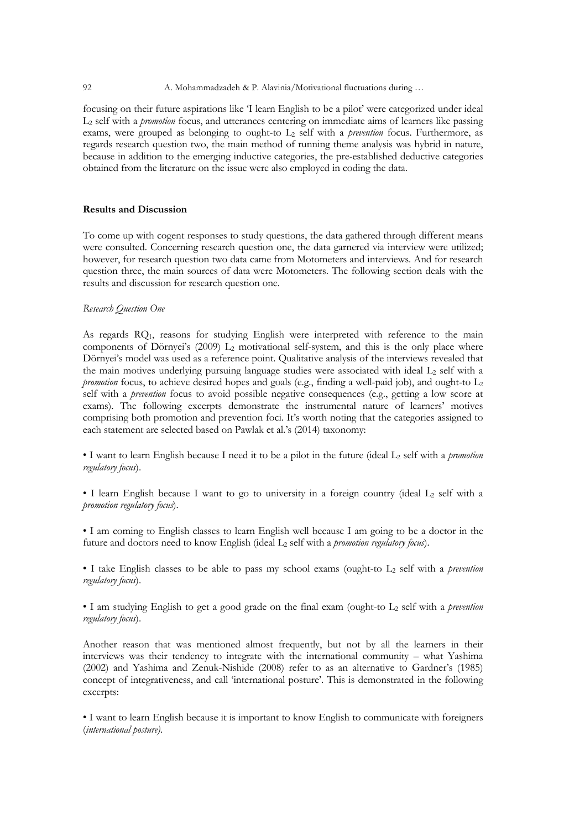#### 92 A. Mohammadzadeh & P. Alavinia/Motivational fluctuations during …

focusing on their future aspirations like 'I learn English to be a pilot' were categorized under ideal L2 self with a *promotion* focus, and utterances centering on immediate aims of learners like passing exams, were grouped as belonging to ought-to L2 self with a *prevention* focus. Furthermore, as regards research question two, the main method of running theme analysis was hybrid in nature, because in addition to the emerging inductive categories, the pre-established deductive categories obtained from the literature on the issue were also employed in coding the data.

# **Results and Discussion**

To come up with cogent responses to study questions, the data gathered through different means were consulted. Concerning research question one, the data garnered via interview were utilized; however, for research question two data came from Motometers and interviews. And for research question three, the main sources of data were Motometers. The following section deals with the results and discussion for research question one.

# *Research Question One*

As regards  $RQ_1$ , reasons for studying English were interpreted with reference to the main components of Dörnyei's  $(2009)$  L<sub>2</sub> motivational self-system, and this is the only place where Dörnyei's model was used as a reference point. Qualitative analysis of the interviews revealed that the main motives underlying pursuing language studies were associated with ideal  $L_2$  self with a *promotion* focus, to achieve desired hopes and goals (e.g., finding a well-paid job), and ought-to L<sub>2</sub> self with a *prevention* focus to avoid possible negative consequences (e.g., getting a low score at exams). The following excerpts demonstrate the instrumental nature of learners' motives comprising both promotion and prevention foci. It's worth noting that the categories assigned to each statement are selected based on Pawlak et al.'s (2014) taxonomy:

• I want to learn English because I need it to be a pilot in the future (ideal L2 self with a *promotion regulatory focus*).

• I learn English because I want to go to university in a foreign country (ideal L<sub>2</sub> self with a *promotion regulatory focus*).

• I am coming to English classes to learn English well because I am going to be a doctor in the future and doctors need to know English (ideal L<sub>2</sub> self with a *promotion regulatory focus*).

• I take English classes to be able to pass my school exams (ought-to L2 self with a *prevention regulatory focus*).

• I am studying English to get a good grade on the final exam (ought-to L2 self with a *prevention regulatory focus*).

Another reason that was mentioned almost frequently, but not by all the learners in their interviews was their tendency to integrate with the international community – what Yashima (2002) and Yashima and Zenuk-Nishide (2008) refer to as an alternative to Gardner's (1985) concept of integrativeness, and call 'international posture'. This is demonstrated in the following excerpts:

• I want to learn English because it is important to know English to communicate with foreigners (*international posture)*.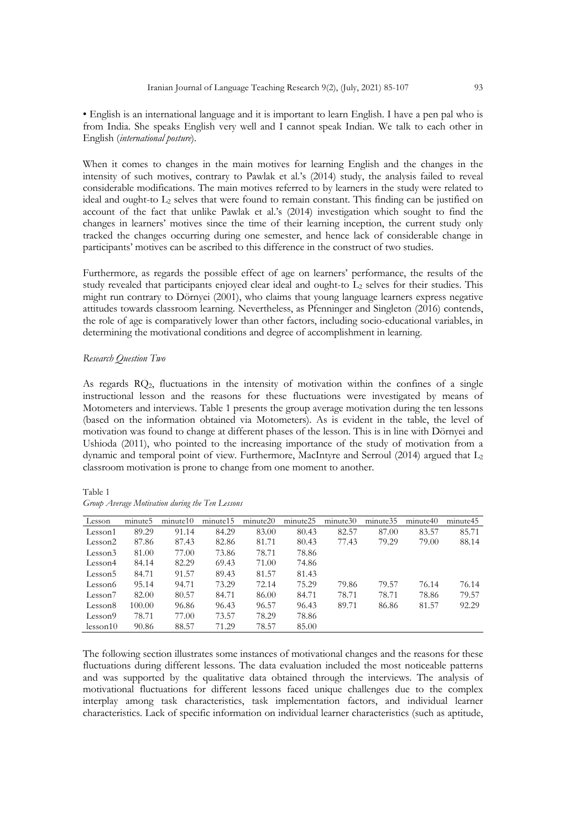• English is an international language and it is important to learn English. I have a pen pal who is from India. She speaks English very well and I cannot speak Indian. We talk to each other in English (*international posture*).

When it comes to changes in the main motives for learning English and the changes in the intensity of such motives, contrary to Pawlak et al.'s (2014) study, the analysis failed to reveal considerable modifications. The main motives referred to by learners in the study were related to ideal and ought-to  $L_2$  selves that were found to remain constant. This finding can be justified on account of the fact that unlike Pawlak et al.'s (2014) investigation which sought to find the changes in learners' motives since the time of their learning inception, the current study only tracked the changes occurring during one semester, and hence lack of considerable change in participants' motives can be ascribed to this difference in the construct of two studies.

Furthermore, as regards the possible effect of age on learners' performance, the results of the study revealed that participants enjoyed clear ideal and ought-to  $L_2$  selves for their studies. This might run contrary to Dörnyei (2001), who claims that young language learners express negative attitudes towards classroom learning. Nevertheless, as Pfenninger and Singleton (2016) contends, the role of age is comparatively lower than other factors, including socio-educational variables, in determining the motivational conditions and degree of accomplishment in learning.

# *Research Question Two*

As regards RQ2, fluctuations in the intensity of motivation within the confines of a single instructional lesson and the reasons for these fluctuations were investigated by means of Motometers and interviews. Table 1 presents the group average motivation during the ten lessons (based on the information obtained via Motometers). As is evident in the table, the level of motivation was found to change at different phases of the lesson. This is in line with Dörnyei and Ushioda (2011), who pointed to the increasing importance of the study of motivation from a dynamic and temporal point of view. Furthermore, MacIntyre and Serroul (2014) argued that L2 classroom motivation is prone to change from one moment to another.

Table 1 *Group Average Motivation during the Ten Lessons*

| Lesson              | minute <sub>5</sub> | minute10 | minute15 | minute20 | minute25 | minute30 | minute35 | minute40 | minute45 |
|---------------------|---------------------|----------|----------|----------|----------|----------|----------|----------|----------|
| Lesson1             | 89.29               | 91.14    | 84.29    | 83.00    | 80.43    | 82.57    | 87.00    | 83.57    | 85.71    |
| Lesson2             | 87.86               | 87.43    | 82.86    | 81.71    | 80.43    | 77.43    | 79.29    | 79.00    | 88.14    |
| Lesson <sub>3</sub> | 81.00               | 77.00    | 73.86    | 78.71    | 78.86    |          |          |          |          |
| Lesson4             | 84.14               | 82.29    | 69.43    | 71.00    | 74.86    |          |          |          |          |
| Lesson5             | 84.71               | 91.57    | 89.43    | 81.57    | 81.43    |          |          |          |          |
| Lesson6             | 95.14               | 94.71    | 73.29    | 72.14    | 75.29    | 79.86    | 79.57    | 76.14    | 76.14    |
| Lesson <sub>7</sub> | 82.00               | 80.57    | 84.71    | 86.00    | 84.71    | 78.71    | 78.71    | 78.86    | 79.57    |
| Lesson <sub>8</sub> | 100.00              | 96.86    | 96.43    | 96.57    | 96.43    | 89.71    | 86.86    | 81.57    | 92.29    |
| Lesson9             | 78.71               | 77.00    | 73.57    | 78.29    | 78.86    |          |          |          |          |
| less on 10          | 90.86               | 88.57    | 71.29    | 78.57    | 85.00    |          |          |          |          |

The following section illustrates some instances of motivational changes and the reasons for these fluctuations during different lessons. The data evaluation included the most noticeable patterns and was supported by the qualitative data obtained through the interviews. The analysis of motivational fluctuations for different lessons faced unique challenges due to the complex interplay among task characteristics, task implementation factors, and individual learner characteristics. Lack of specific information on individual learner characteristics (such as aptitude,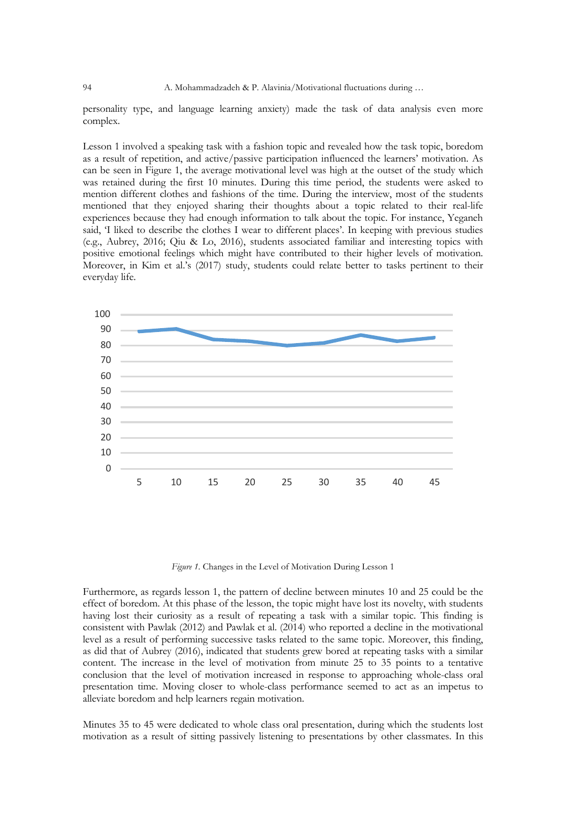personality type, and language learning anxiety) made the task of data analysis even more complex.

Lesson 1 involved a speaking task with a fashion topic and revealed how the task topic, boredom as a result of repetition, and active/passive participation influenced the learners' motivation. As can be seen in Figure 1, the average motivational level was high at the outset of the study which was retained during the first 10 minutes. During this time period, the students were asked to mention different clothes and fashions of the time. During the interview, most of the students mentioned that they enjoyed sharing their thoughts about a topic related to their real-life experiences because they had enough information to talk about the topic. For instance, Yeganeh said, 'I liked to describe the clothes I wear to different places'. In keeping with previous studies (e.g., Aubrey, 2016; Qiu & Lo, 2016), students associated familiar and interesting topics with positive emotional feelings which might have contributed to their higher levels of motivation. Moreover, in Kim et al.'s (2017) study, students could relate better to tasks pertinent to their everyday life.



*Figure 1.* Changes in the Level of Motivation During Lesson 1

Furthermore, as regards lesson 1, the pattern of decline between minutes 10 and 25 could be the effect of boredom. At this phase of the lesson, the topic might have lost its novelty, with students having lost their curiosity as a result of repeating a task with a similar topic. This finding is consistent with Pawlak (2012) and Pawlak et al. (2014) who reported a decline in the motivational level as a result of performing successive tasks related to the same topic. Moreover, this finding, as did that of Aubrey (2016), indicated that students grew bored at repeating tasks with a similar content. The increase in the level of motivation from minute 25 to 35 points to a tentative conclusion that the level of motivation increased in response to approaching whole-class oral presentation time. Moving closer to whole-class performance seemed to act as an impetus to alleviate boredom and help learners regain motivation.

Minutes 35 to 45 were dedicated to whole class oral presentation, during which the students lost motivation as a result of sitting passively listening to presentations by other classmates. In this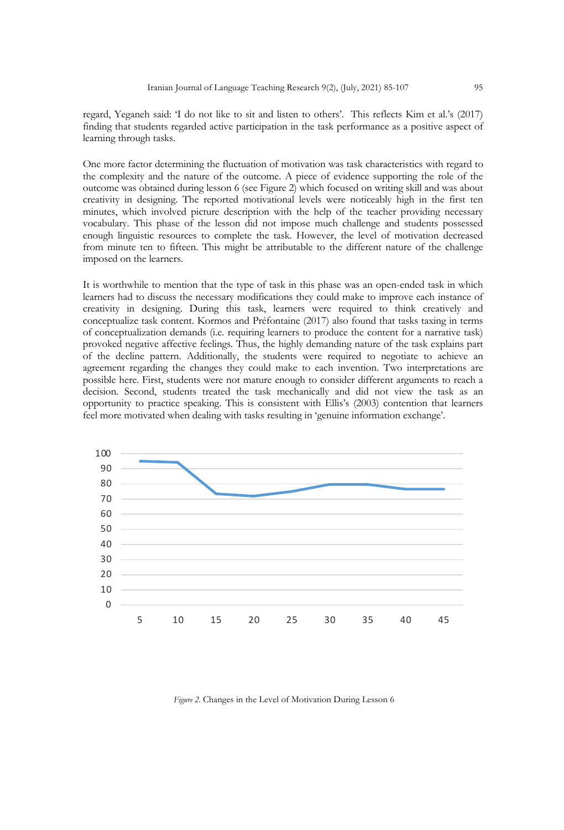regard, Yeganeh said: 'I do not like to sit and listen to others'. This reflects Kim et al.'s (2017) finding that students regarded active participation in the task performance as a positive aspect of learning through tasks.

One more factor determining the fluctuation of motivation was task characteristics with regard to the complexity and the nature of the outcome. A piece of evidence supporting the role of the outcome was obtained during lesson 6 (see Figure 2) which focused on writing skill and was about creativity in designing. The reported motivational levels were noticeably high in the first ten minutes, which involved picture description with the help of the teacher providing necessary vocabulary. This phase of the lesson did not impose much challenge and students possessed enough linguistic resources to complete the task. However, the level of motivation decreased from minute ten to fifteen. This might be attributable to the different nature of the challenge imposed on the learners.

It is worthwhile to mention that the type of task in this phase was an open-ended task in which learners had to discuss the necessary modifications they could make to improve each instance of creativity in designing. During this task, learners were required to think creatively and conceptualize task content. Kormos and Préfontaine (2017) also found that tasks taxing in terms of conceptualization demands (i.e. requiring learners to produce the content for a narrative task) provoked negative affective feelings. Thus, the highly demanding nature of the task explains part of the decline pattern. Additionally, the students were required to negotiate to achieve an agreement regarding the changes they could make to each invention. Two interpretations are possible here. First, students were not mature enough to consider different arguments to reach a decision. Second, students treated the task mechanically and did not view the task as an opportunity to practice speaking. This is consistent with Ellis's (2003) contention that learners feel more motivated when dealing with tasks resulting in 'genuine information exchange'.



*Figure 2.* Changes in the Level of Motivation During Lesson 6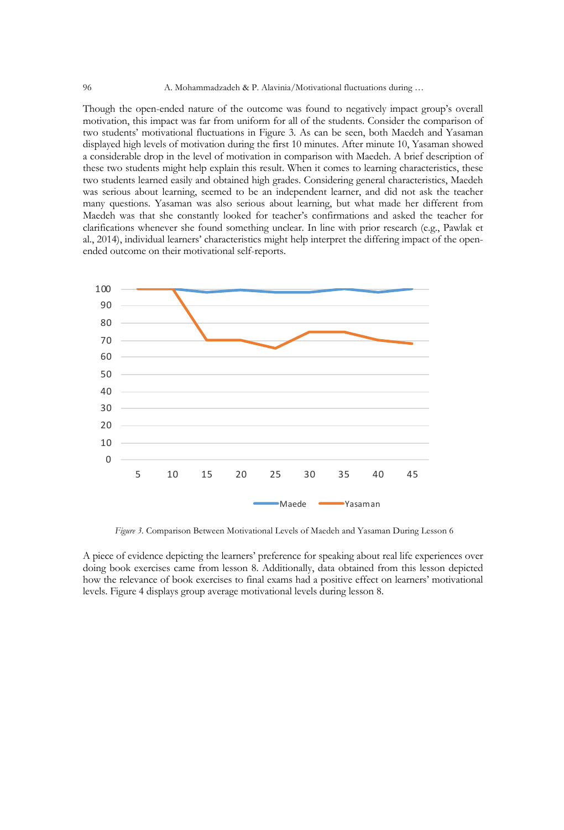Though the open-ended nature of the outcome was found to negatively impact group's overall motivation, this impact was far from uniform for all of the students. Consider the comparison of two students' motivational fluctuations in Figure 3. As can be seen, both Maedeh and Yasaman displayed high levels of motivation during the first 10 minutes. After minute 10, Yasaman showed a considerable drop in the level of motivation in comparison with Maedeh. A brief description of these two students might help explain this result. When it comes to learning characteristics, these two students learned easily and obtained high grades. Considering general characteristics, Maedeh was serious about learning, seemed to be an independent learner, and did not ask the teacher many questions. Yasaman was also serious about learning, but what made her different from Maedeh was that she constantly looked for teacher's confirmations and asked the teacher for clarifications whenever she found something unclear. In line with prior research (e.g., Pawlak et al., 2014), individual learners' characteristics might help interpret the differing impact of the openended outcome on their motivational self-reports.



*Figure 3.* Comparison Between Motivational Levels of Maedeh and Yasaman During Lesson 6

A piece of evidence depicting the learners' preference for speaking about real life experiences over doing book exercises came from lesson 8. Additionally, data obtained from this lesson depicted how the relevance of book exercises to final exams had a positive effect on learners' motivational levels. Figure 4 displays group average motivational levels during lesson 8.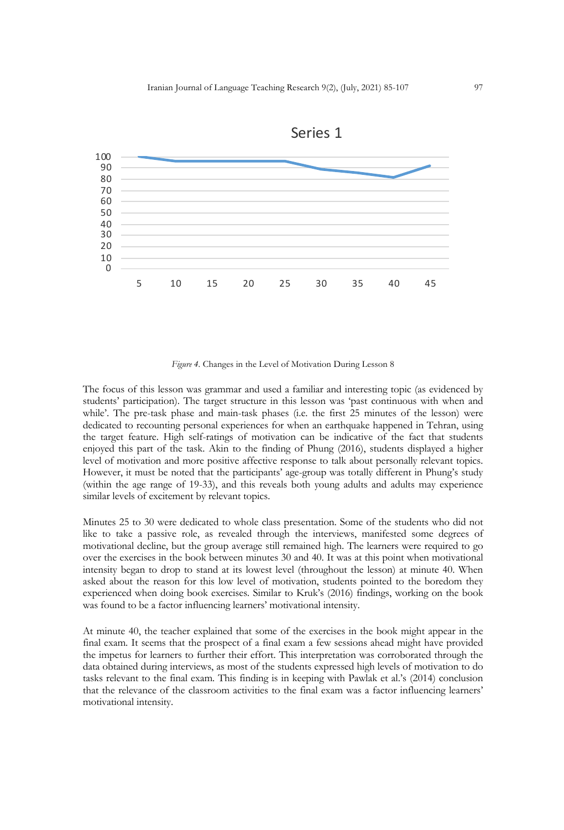



*Figure 4.* Changes in the Level of Motivation During Lesson 8

The focus of this lesson was grammar and used a familiar and interesting topic (as evidenced by students' participation). The target structure in this lesson was 'past continuous with when and while'. The pre-task phase and main-task phases (i.e. the first 25 minutes of the lesson) were dedicated to recounting personal experiences for when an earthquake happened in Tehran, using the target feature. High self-ratings of motivation can be indicative of the fact that students enjoyed this part of the task. Akin to the finding of Phung (2016), students displayed a higher level of motivation and more positive affective response to talk about personally relevant topics. However, it must be noted that the participants' age-group was totally different in Phung's study (within the age range of 19-33), and this reveals both young adults and adults may experience similar levels of excitement by relevant topics.

Minutes 25 to 30 were dedicated to whole class presentation. Some of the students who did not like to take a passive role, as revealed through the interviews, manifested some degrees of motivational decline, but the group average still remained high. The learners were required to go over the exercises in the book between minutes 30 and 40. It was at this point when motivational intensity began to drop to stand at its lowest level (throughout the lesson) at minute 40. When asked about the reason for this low level of motivation, students pointed to the boredom they experienced when doing book exercises. Similar to Kruk's (2016) findings, working on the book was found to be a factor influencing learners' motivational intensity.

At minute 40, the teacher explained that some of the exercises in the book might appear in the final exam. It seems that the prospect of a final exam a few sessions ahead might have provided the impetus for learners to further their effort. This interpretation was corroborated through the data obtained during interviews, as most of the students expressed high levels of motivation to do tasks relevant to the final exam. This finding is in keeping with Pawlak et al.'s (2014) conclusion that the relevance of the classroom activities to the final exam was a factor influencing learners' motivational intensity.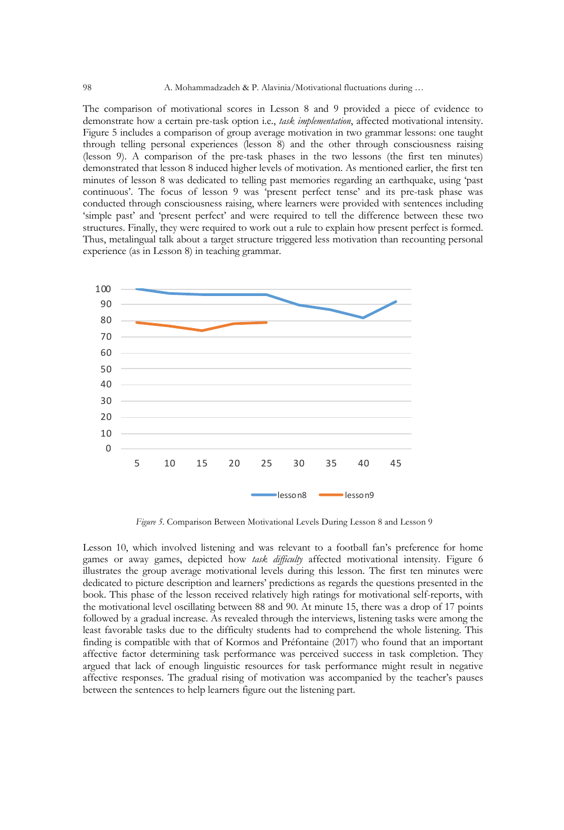The comparison of motivational scores in Lesson 8 and 9 provided a piece of evidence to demonstrate how a certain pre-task option i.e., *task implementation*, affected motivational intensity. Figure 5 includes a comparison of group average motivation in two grammar lessons: one taught through telling personal experiences (lesson 8) and the other through consciousness raising (lesson 9). A comparison of the pre-task phases in the two lessons (the first ten minutes) demonstrated that lesson 8 induced higher levels of motivation. As mentioned earlier, the first ten minutes of lesson 8 was dedicated to telling past memories regarding an earthquake, using 'past continuous'. The focus of lesson 9 was 'present perfect tense' and its pre-task phase was conducted through consciousness raising, where learners were provided with sentences including 'simple past' and 'present perfect' and were required to tell the difference between these two structures. Finally, they were required to work out a rule to explain how present perfect is formed. Thus, metalingual talk about a target structure triggered less motivation than recounting personal experience (as in Lesson 8) in teaching grammar.



*Figure 5.* Comparison Between Motivational Levels During Lesson 8 and Lesson 9

Lesson 10, which involved listening and was relevant to a football fan's preference for home games or away games, depicted how *task difficulty* affected motivational intensity. Figure 6 illustrates the group average motivational levels during this lesson. The first ten minutes were dedicated to picture description and learners' predictions as regards the questions presented in the book. This phase of the lesson received relatively high ratings for motivational self-reports, with the motivational level oscillating between 88 and 90. At minute 15, there was a drop of 17 points followed by a gradual increase. As revealed through the interviews, listening tasks were among the least favorable tasks due to the difficulty students had to comprehend the whole listening. This finding is compatible with that of Kormos and Préfontaine (2017) who found that an important affective factor determining task performance was perceived success in task completion. They argued that lack of enough linguistic resources for task performance might result in negative affective responses. The gradual rising of motivation was accompanied by the teacher's pauses between the sentences to help learners figure out the listening part.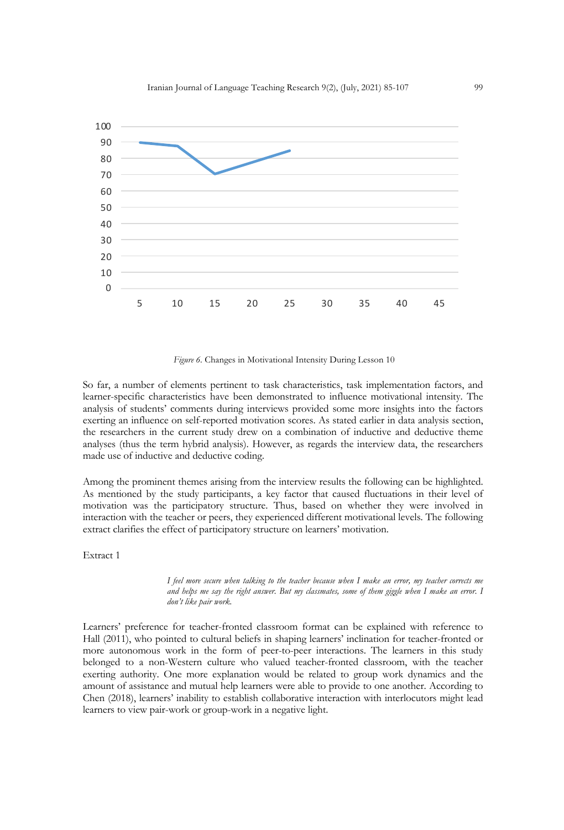

*Figure 6.* Changes in Motivational Intensity During Lesson 10

So far, a number of elements pertinent to task characteristics, task implementation factors, and learner-specific characteristics have been demonstrated to influence motivational intensity. The analysis of students' comments during interviews provided some more insights into the factors exerting an influence on self-reported motivation scores. As stated earlier in data analysis section, the researchers in the current study drew on a combination of inductive and deductive theme analyses (thus the term hybrid analysis). However, as regards the interview data, the researchers made use of inductive and deductive coding.

Among the prominent themes arising from the interview results the following can be highlighted. As mentioned by the study participants, a key factor that caused fluctuations in their level of motivation was the participatory structure. Thus, based on whether they were involved in interaction with the teacher or peers, they experienced different motivational levels. The following extract clarifies the effect of participatory structure on learners' motivation.

Extract 1

*I feel more secure when talking to the teacher because when I make an error, my teacher corrects me and helps me say the right answer. But my classmates, some of them giggle when I make an error. I don't like pair work.*

Learners' preference for teacher-fronted classroom format can be explained with reference to Hall (2011), who pointed to cultural beliefs in shaping learners' inclination for teacher-fronted or more autonomous work in the form of peer-to-peer interactions. The learners in this study belonged to a non-Western culture who valued teacher-fronted classroom, with the teacher exerting authority. One more explanation would be related to group work dynamics and the amount of assistance and mutual help learners were able to provide to one another. According to Chen (2018), learners' inability to establish collaborative interaction with interlocutors might lead learners to view pair-work or group-work in a negative light.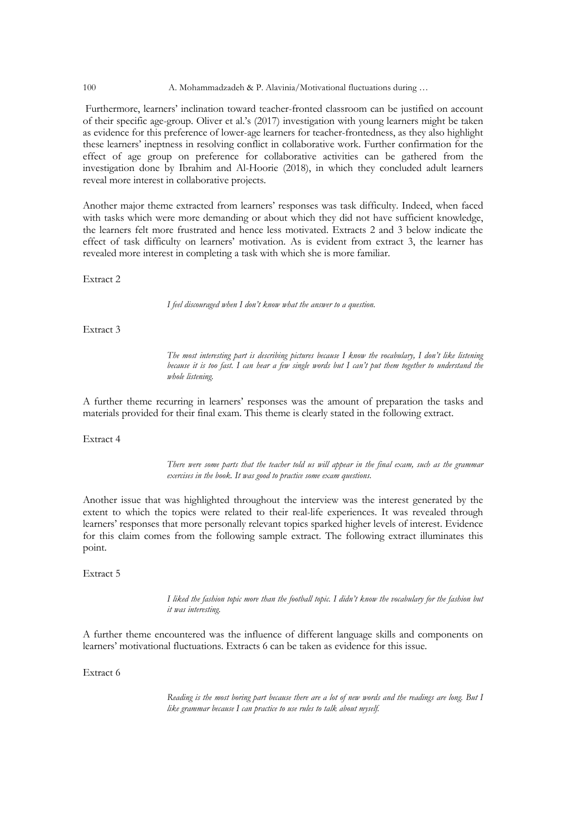100 A. Mohammadzadeh & P. Alavinia/Motivational fluctuations during …

Furthermore, learners' inclination toward teacher-fronted classroom can be justified on account of their specific age-group. Oliver et al.'s (2017) investigation with young learners might be taken as evidence for this preference of lower-age learners for teacher-frontedness, as they also highlight these learners' ineptness in resolving conflict in collaborative work. Further confirmation for the effect of age group on preference for collaborative activities can be gathered from the investigation done by Ibrahim and Al-Hoorie (2018), in which they concluded adult learners reveal more interest in collaborative projects.

Another major theme extracted from learners' responses was task difficulty. Indeed, when faced with tasks which were more demanding or about which they did not have sufficient knowledge, the learners felt more frustrated and hence less motivated. Extracts 2 and 3 below indicate the effect of task difficulty on learners' motivation. As is evident from extract 3, the learner has revealed more interest in completing a task with which she is more familiar.

Extract 2

*I feel discouraged when I don't know what the answer to a question.*

Extract 3

*The most interesting part is describing pictures because I know the vocabulary, I don't like listening because it is too fast. I can hear a few single words but I can't put them together to understand the whole listening.*

A further theme recurring in learners' responses was the amount of preparation the tasks and materials provided for their final exam. This theme is clearly stated in the following extract.

Extract 4

*There were some parts that the teacher told us will appear in the final exam, such as the grammar exercises in the book. It was good to practice some exam questions.*

Another issue that was highlighted throughout the interview was the interest generated by the extent to which the topics were related to their real-life experiences. It was revealed through learners' responses that more personally relevant topics sparked higher levels of interest. Evidence for this claim comes from the following sample extract. The following extract illuminates this point.

Extract 5

*I liked the fashion topic more than the football topic. I didn't know the vocabulary for the fashion but it was interesting.*

A further theme encountered was the influence of different language skills and components on learners' motivational fluctuations. Extracts 6 can be taken as evidence for this issue.

Extract 6

*Reading is the most boring part because there are a lot of new words and the readings are long. But I like grammar because I can practice to use rules to talk about myself.*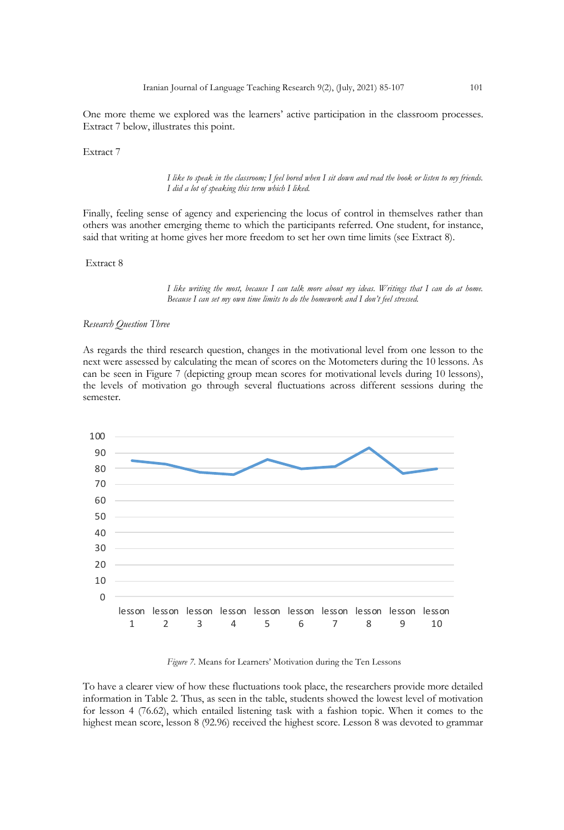One more theme we explored was the learners' active participation in the classroom processes. Extract 7 below, illustrates this point.

Extract 7

*I like to speak in the classroom; I feel bored when I sit down and read the book or listen to my friends. I did a lot of speaking this term which I liked.*

Finally, feeling sense of agency and experiencing the locus of control in themselves rather than others was another emerging theme to which the participants referred. One student, for instance, said that writing at home gives her more freedom to set her own time limits (see Extract 8).

Extract 8

*I like writing the most, because I can talk more about my ideas. Writings that I can do at home. Because I can set my own time limits to do the homework and I don't feel stressed.*

# *Research Question Three*

As regards the third research question, changes in the motivational level from one lesson to the next were assessed by calculating the mean of scores on the Motometers during the 10 lessons. As can be seen in Figure 7 (depicting group mean scores for motivational levels during 10 lessons), the levels of motivation go through several fluctuations across different sessions during the semester.



*Figure 7.* Means for Learners' Motivation during the Ten Lessons

To have a clearer view of how these fluctuations took place, the researchers provide more detailed information in Table 2. Thus, as seen in the table, students showed the lowest level of motivation for lesson 4 (76.62), which entailed listening task with a fashion topic. When it comes to the highest mean score, lesson 8 (92.96) received the highest score. Lesson 8 was devoted to grammar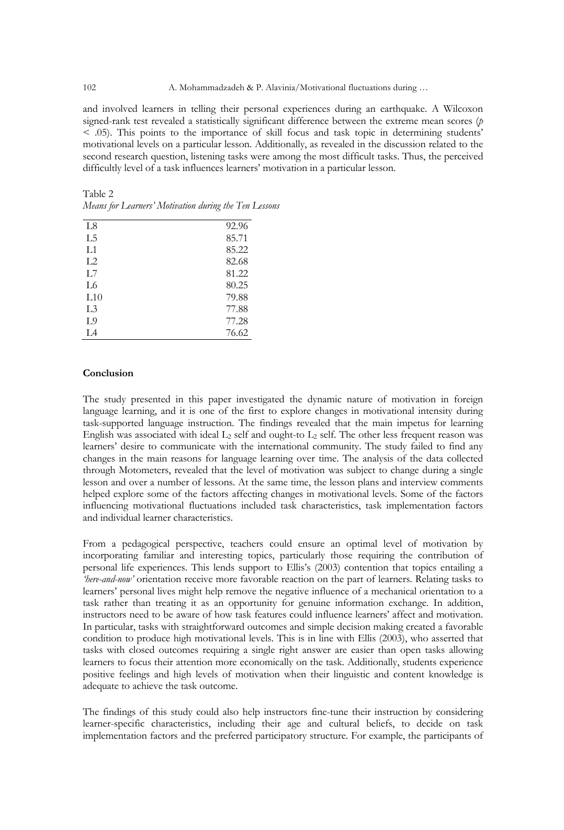and involved learners in telling their personal experiences during an earthquake. A Wilcoxon signed-rank test revealed a statistically significant difference between the extreme mean scores (*p* < .05). This points to the importance of skill focus and task topic in determining students' motivational levels on a particular lesson. Additionally, as revealed in the discussion related to the second research question, listening tasks were among the most difficult tasks. Thus, the perceived difficultly level of a task influences learners' motivation in a particular lesson.

| L <sub>8</sub> | 92.96 |
|----------------|-------|
| L <sub>5</sub> | 85.71 |
| L1             | 85.22 |
| L <sub>2</sub> | 82.68 |
| L7             | 81.22 |
| L6             | 80.25 |
| L10            | 79.88 |
| L <sub>3</sub> | 77.88 |
| L9             | 77.28 |
| L4             | 76.62 |

| Table 2                                               |  |  |
|-------------------------------------------------------|--|--|
| Means for Learners' Motivation during the Ten Lessons |  |  |

# **Conclusion**

The study presented in this paper investigated the dynamic nature of motivation in foreign language learning, and it is one of the first to explore changes in motivational intensity during task-supported language instruction. The findings revealed that the main impetus for learning English was associated with ideal  $L_2$  self and ought-to  $L_2$  self. The other less frequent reason was learners' desire to communicate with the international community. The study failed to find any changes in the main reasons for language learning over time. The analysis of the data collected through Motometers, revealed that the level of motivation was subject to change during a single lesson and over a number of lessons. At the same time, the lesson plans and interview comments helped explore some of the factors affecting changes in motivational levels. Some of the factors influencing motivational fluctuations included task characteristics, task implementation factors and individual learner characteristics.

From a pedagogical perspective, teachers could ensure an optimal level of motivation by incorporating familiar and interesting topics, particularly those requiring the contribution of personal life experiences. This lends support to Ellis's (2003) contention that topics entailing a *'here-and-now'* orientation receive more favorable reaction on the part of learners. Relating tasks to learners' personal lives might help remove the negative influence of a mechanical orientation to a task rather than treating it as an opportunity for genuine information exchange. In addition, instructors need to be aware of how task features could influence learners' affect and motivation. In particular, tasks with straightforward outcomes and simple decision making created a favorable condition to produce high motivational levels. This is in line with Ellis (2003), who asserted that tasks with closed outcomes requiring a single right answer are easier than open tasks allowing learners to focus their attention more economically on the task. Additionally, students experience positive feelings and high levels of motivation when their linguistic and content knowledge is adequate to achieve the task outcome.

The findings of this study could also help instructors fine-tune their instruction by considering learner-specific characteristics, including their age and cultural beliefs, to decide on task implementation factors and the preferred participatory structure. For example, the participants of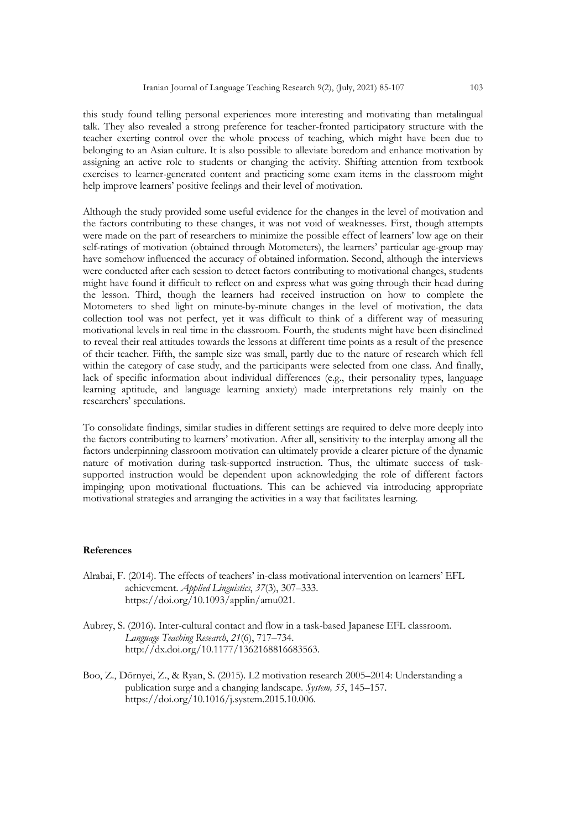this study found telling personal experiences more interesting and motivating than metalingual talk. They also revealed a strong preference for teacher-fronted participatory structure with the teacher exerting control over the whole process of teaching, which might have been due to belonging to an Asian culture. It is also possible to alleviate boredom and enhance motivation by assigning an active role to students or changing the activity. Shifting attention from textbook exercises to learner-generated content and practicing some exam items in the classroom might help improve learners' positive feelings and their level of motivation.

Although the study provided some useful evidence for the changes in the level of motivation and the factors contributing to these changes, it was not void of weaknesses. First, though attempts were made on the part of researchers to minimize the possible effect of learners' low age on their self-ratings of motivation (obtained through Motometers), the learners' particular age-group may have somehow influenced the accuracy of obtained information. Second, although the interviews were conducted after each session to detect factors contributing to motivational changes, students might have found it difficult to reflect on and express what was going through their head during the lesson. Third, though the learners had received instruction on how to complete the Motometers to shed light on minute-by-minute changes in the level of motivation, the data collection tool was not perfect, yet it was difficult to think of a different way of measuring motivational levels in real time in the classroom. Fourth, the students might have been disinclined to reveal their real attitudes towards the lessons at different time points as a result of the presence of their teacher. Fifth, the sample size was small, partly due to the nature of research which fell within the category of case study, and the participants were selected from one class. And finally, lack of specific information about individual differences (e.g., their personality types, language learning aptitude, and language learning anxiety) made interpretations rely mainly on the researchers' speculations.

To consolidate findings, similar studies in different settings are required to delve more deeply into the factors contributing to learners' motivation. After all, sensitivity to the interplay among all the factors underpinning classroom motivation can ultimately provide a clearer picture of the dynamic nature of motivation during task-supported instruction. Thus, the ultimate success of tasksupported instruction would be dependent upon acknowledging the role of different factors impinging upon motivational fluctuations. This can be achieved via introducing appropriate motivational strategies and arranging the activities in a way that facilitates learning.

#### **References**

- Alrabai, F. (2014). The effects of teachers' in-class motivational intervention on learners' EFL achievement. *Applied Linguistics*, *37*(3), 307–333. https://doi.org/10.1093/applin/amu021.
- Aubrey, S. (2016). Inter-cultural contact and flow in a task-based Japanese EFL classroom. *Language Teaching Research*, *21*(6), 717–734. http://dx.doi.org/10.1177/1362168816683563.
- Boo, Z., Dörnyei, Z., & Ryan, S. (2015). L2 motivation research 2005–2014: Understanding a publication surge and a changing landscape. *System, 55*, 145–157. https://doi.org/10.1016/j.system.2015.10.006.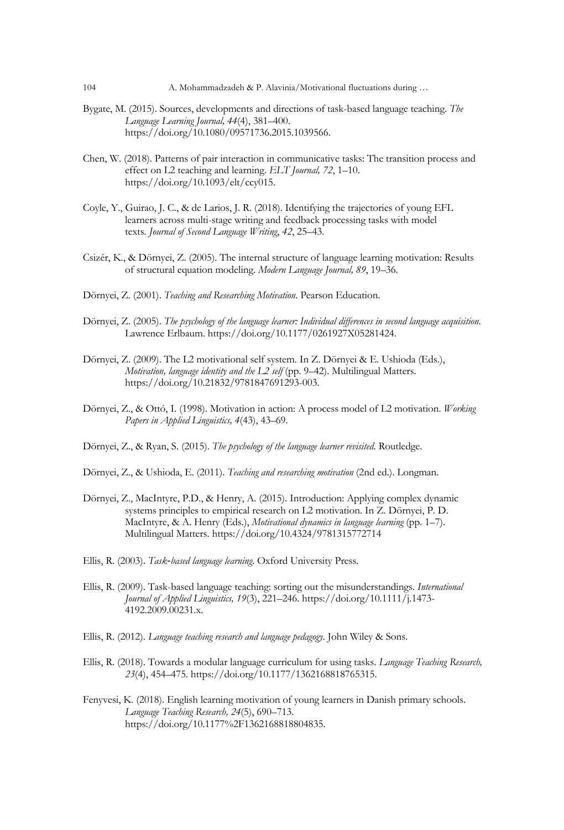- Bygate, M. (2015). Sources, developments and directions of task-based language teaching. *The Language Learning Journal, 44*(4), 381–400. https://doi.org/10.1080/09571736.2015.1039566.
- Chen, W. (2018). Patterns of pair interaction in communicative tasks: The transition process and effect on L2 teaching and learning. *ELT Journal, 72*, 1–10. https://doi.org/10.1093/elt/ccy015.
- Coyle, Y., Guirao, J. C., & de Larios, J. R. (2018). Identifying the trajectories of young EFL learners across multi-stage writing and feedback processing tasks with model texts. *Journal of Second Language Writing*, *42*, 25–43.
- Csizér, K., & Dörnyei, Z. (2005). The internal structure of language learning motivation: Results of structural equation modeling. *Modern Language Journal, 89*, 19–36.
- Dörnyei, Z. (2001). *Teaching and Researching Motivation*. Pearson Education.
- Dörnyei, Z. (2005). *The psychology of the language learner: Individual differences in second language acquisition.*  Lawrence Erlbaum. https://doi.org/10.1177/0261927X05281424.
- Dörnyei, Z. (2009). The L2 motivational self system. In Z. Dörnyei & E. Ushioda (Eds.), *Motivation, language identity and the L2 self* (pp. 9–42). Multilingual Matters. https://doi.org/10.21832/9781847691293-003.
- Dörnyei, Z., & Ottó, I. (1998). Motivation in action: A process model of L2 motivation. *Working Papers in Applied Linguistics, 4*(43), 43–69.
- Dörnyei, Z., & Ryan, S. (2015). *The psychology of the language learner revisited*. Routledge.
- Dörnyei, Z., & Ushioda, E. (2011). *Teaching and researching motivation* (2nd ed.). Longman.
- Dörnyei, Z., MacIntyre, P.D., & Henry, A. (2015). Introduction: Applying complex dynamic systems principles to empirical research on L2 motivation. In Z. Dörnyei, P. D. MacIntyre, & A. Henry (Eds.), *Motivational dynamics in language learning* (pp. 1–7). Multilingual Matters. https://doi.org/10.4324/9781315772714
- Ellis, R. (2003). *Task*-*based language learning*. Oxford University Press.
- Ellis, R. (2009). Task-based language teaching: sorting out the misunderstandings. *International Journal of Applied Linguistics, 19*(3), 221–246. https://doi.org/10.1111/j.1473- 4192.2009.00231.x.
- Ellis, R. (2012). *Language teaching research and language pedagogy*. John Wiley & Sons.
- Ellis, R. (2018). Towards a modular language curriculum for using tasks. *Language Teaching Research, 23*(4), 454–475. https://doi.org/10.1177/1362168818765315.
- Fenyvesi, K. (2018). English learning motivation of young learners in Danish primary schools. *Language Teaching Research, 24*(5), 690–713. https://doi.org/10.1177%2F1362168818804835.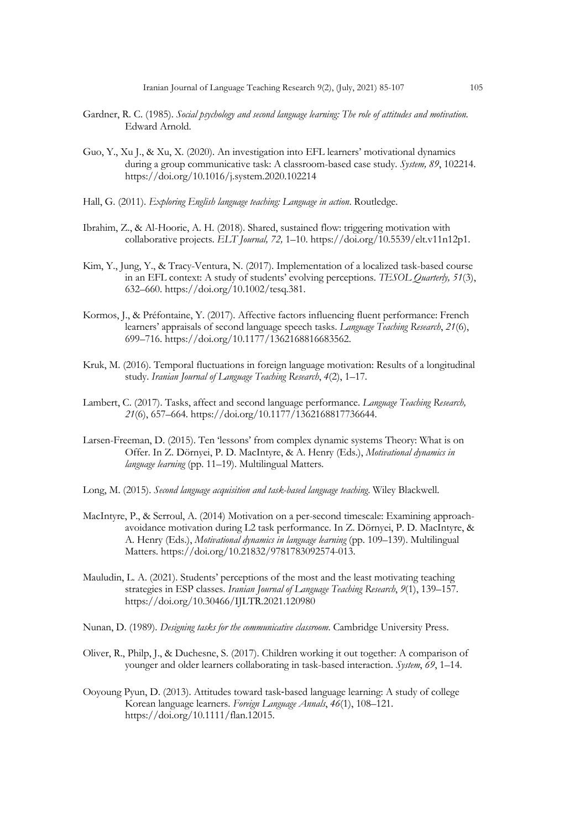- Gardner, R. C. (1985). *Social psychology and second language learning: The role of attitudes and motivation.* Edward Arnold.
- Guo, Y., Xu J., & Xu, X. (2020). An investigation into EFL learners' motivational dynamics during a group communicative task: A classroom-based case study. *System, 89*, 102214. https://doi.org/10.1016/j.system.2020.102214
- Hall, G. (2011). *Exploring English language teaching: Language in action*. Routledge.
- Ibrahim, Z., & Al-Hoorie, A. H. (2018). Shared, sustained flow: triggering motivation with collaborative projects. *ELT Journal, 72,* 1–10. https://doi.org/10.5539/elt.v11n12p1.
- Kim, Y., Jung, Y., & Tracy-Ventura, N. (2017). Implementation of a localized task-based course in an EFL context: A study of students' evolving perceptions. *TESOL Quarterly, 51*(3), 632–660. https://doi.org/10.1002/tesq.381.
- Kormos, J., & Préfontaine, Y. (2017). Affective factors influencing fluent performance: French learners' appraisals of second language speech tasks. *Language Teaching Research*, *21*(6), 699–716. https://doi.org/10.1177/1362168816683562.
- Kruk, M. (2016). Temporal fluctuations in foreign language motivation: Results of a longitudinal study. *Iranian Journal of Language Teaching Research*, *4*(2), 1–17.
- Lambert, C. (2017). Tasks, affect and second language performance. *Language Teaching Research, 21*(6), 657–664. https://doi.org/10.1177/1362168817736644.
- Larsen-Freeman, D. (2015). Ten 'lessons' from complex dynamic systems Theory: What is on Offer. In Z. Dörnyei, P. D. MacIntyre, & A. Henry (Eds.), *Motivational dynamics in language learning* (pp. 11–19). Multilingual Matters.
- Long, M. (2015). *Second language acquisition and task-based language teaching*. Wiley Blackwell.
- MacIntyre, P., & Serroul, A. (2014) Motivation on a per-second timescale: Examining approachavoidance motivation during L2 task performance. In Z. Dörnyei, P. D. MacIntyre, & A. Henry (Eds.), *Motivational dynamics in language learning* (pp. 109–139). Multilingual Matters. https://doi.org/10.21832/9781783092574-013.
- Mauludin, L. A. (2021). Students' perceptions of the most and the least motivating teaching strategies in ESP classes. *Iranian Journal of Language Teaching Research*, *9*(1), 139–157. https://doi.org/10.30466/IJLTR.2021.120980
- Nunan, D. (1989). *Designing tasks for the communicative classroom*. Cambridge University Press.
- Oliver, R., Philp, J., & Duchesne, S. (2017). Children working it out together: A comparison of younger and older learners collaborating in task-based interaction. *System*, *69*, 1–14.
- Ooyoung Pyun, D. (2013). Attitudes toward task-based language learning: A study of college Korean language learners. *Foreign Language Annals*, *46*(1), 108–121. https://doi.org/10.1111/flan.12015.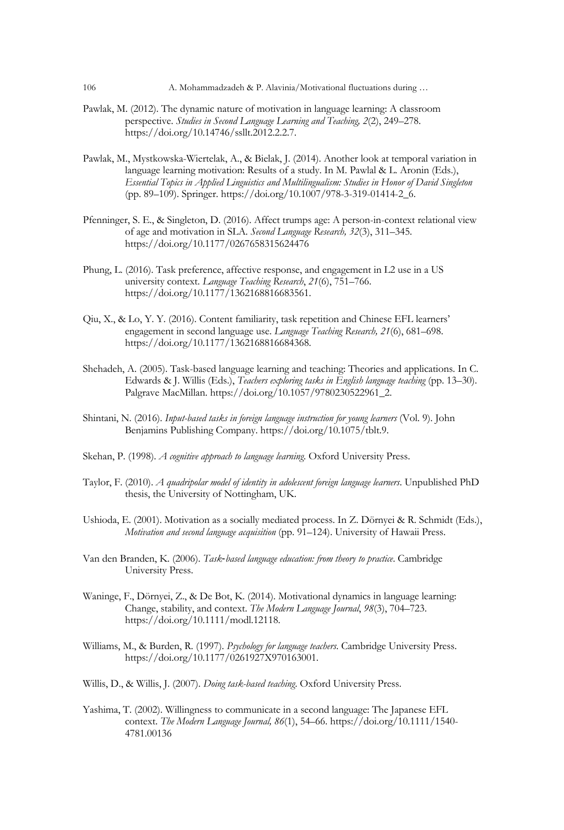- Pawlak, M. (2012). The dynamic nature of motivation in language learning: A classroom perspective. *Studies in Second Language Learning and Teaching, 2*(2), 249–278. https://doi.org/10.14746/ssllt.2012.2.2.7.
- Pawlak, M., Mystkowska-Wiertelak, A., & Bielak, J. (2014). Another look at temporal variation in language learning motivation: Results of a study. In M. Pawlal & L. Aronin (Eds.), *Essential Topics in Applied Linguistics and Multilingualism: Studies in Honor of David Singleton*  (pp. 89–109). Springer. https://doi.org/10.1007/978-3-319-01414-2\_6.
- Pfenninger, S. E., & Singleton, D. (2016). Affect trumps age: A person-in-context relational view of age and motivation in SLA. *Second Language Research, 32*(3), 311–345. https://doi.org/10.1177/0267658315624476
- Phung, L. (2016). Task preference, affective response, and engagement in L2 use in a US university context. *Language Teaching Research*, *21*(6), 751–766. https://doi.org/10.1177/1362168816683561.
- Qiu, X., & Lo, Y. Y. (2016). Content familiarity, task repetition and Chinese EFL learners' engagement in second language use. *Language Teaching Research, 21*(6), 681–698. https://doi.org/10.1177/1362168816684368.
- Shehadeh, A. (2005). Task-based language learning and teaching: Theories and applications. In C. Edwards & J. Willis (Eds.), *Teachers exploring tasks in English language teaching* (pp. 13–30). Palgrave MacMillan. https://doi.org/10.1057/9780230522961\_2.
- Shintani, N. (2016). *Input-based tasks in foreign language instruction for young learners* (Vol. 9). John Benjamins Publishing Company. https://doi.org/10.1075/tblt.9.
- Skehan, P. (1998). *A cognitive approach to language learning*. Oxford University Press.
- Taylor, F. (2010). *A quadripolar model of identity in adolescent foreign language learners*. Unpublished PhD thesis, the University of Nottingham, UK.
- Ushioda, E. (2001). Motivation as a socially mediated process. In Z. Dörnyei & R. Schmidt (Eds.), *Motivation and second language acquisition* (pp. 91–124). University of Hawaii Press.
- Van den Branden, K. (2006). *Task*-*based language education: from theory to practice*. Cambridge University Press.
- Waninge, F., Dörnyei, Z., & De Bot, K. (2014). Motivational dynamics in language learning: Change, stability, and context. *The Modern Language Journal*, *98*(3), 704–723. https://doi.org/10.1111/modl.12118.
- Williams, M., & Burden, R. (1997). *Psychology for language teachers*. Cambridge University Press. https://doi.org/10.1177/0261927X970163001.
- Willis, D., & Willis, J. (2007). *Doing task-based teaching*. Oxford University Press.
- Yashima, T. (2002). Willingness to communicate in a second language: The Japanese EFL context. *The Modern Language Journal, 86*(1), 54–66. https://doi.org/10.1111/1540- 4781.00136